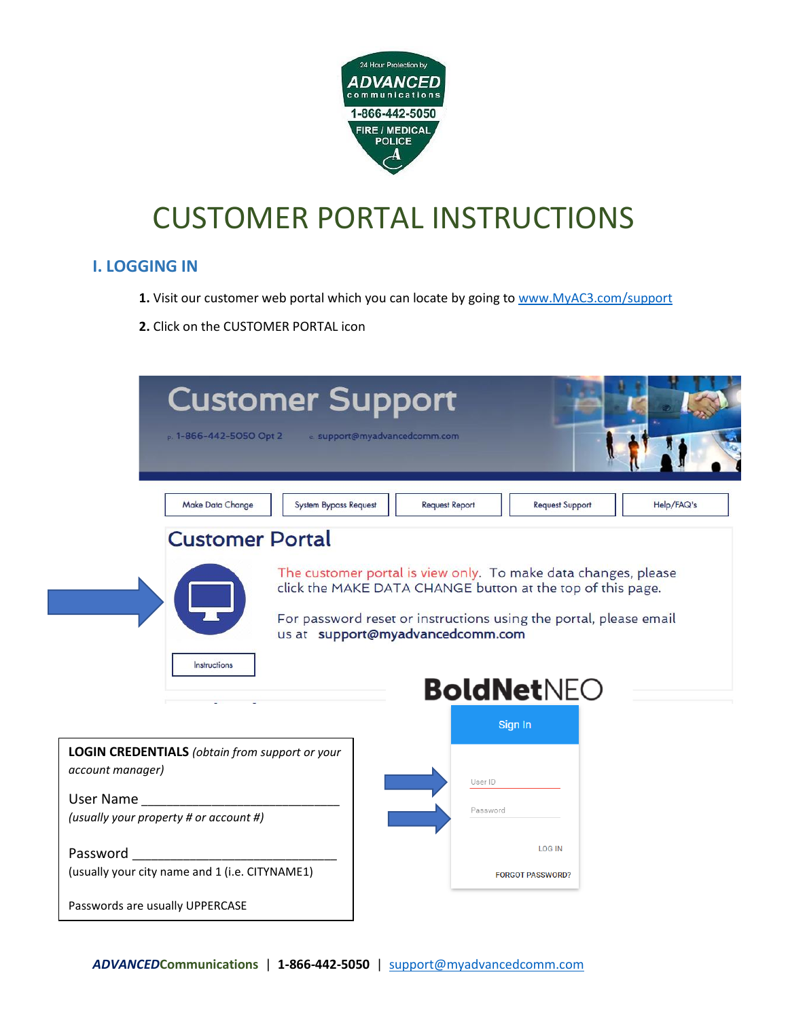

#### **I. LOGGING IN**

- **1.** Visit our customer web portal which you can locate by going to [www.MyAC3.com/support](http://www.myac3.com/support)
- **2.** Click on the CUSTOMER PORTAL icon

| <b>Customer Support</b><br>$p. 1 - 866 - 442 - 5050$ Opt 2<br>e support@myadvancedcomm.com                     |                                                                                                                                 |
|----------------------------------------------------------------------------------------------------------------|---------------------------------------------------------------------------------------------------------------------------------|
| <b>Make Data Change</b><br><b>System Bypass Request</b>                                                        | <b>Request Support</b><br>Help/FAQ's<br><b>Request Report</b>                                                                   |
| <b>Customer Portal</b>                                                                                         |                                                                                                                                 |
| us at support@myadvancedcomm.com<br>Instructions                                                               | click the MAKE DATA CHANGE button at the top of this page.<br>For password reset or instructions using the portal, please email |
|                                                                                                                | <b>BoldNetNEO</b>                                                                                                               |
|                                                                                                                | Sign In                                                                                                                         |
| <b>LOGIN CREDENTIALS</b> (obtain from support or your<br>account manager)                                      | User ID                                                                                                                         |
| User Name and the state of the state of the state of the state of the state of the state of the state of the s | Password                                                                                                                        |
| (usually your property # or account #)                                                                         |                                                                                                                                 |
| Password                                                                                                       | <b>LOG IN</b>                                                                                                                   |
| (usually your city name and 1 (i.e. CITYNAME1)                                                                 | <b>FORGOT PASSWORD?</b>                                                                                                         |
| Passwords are usually UPPERCASE                                                                                |                                                                                                                                 |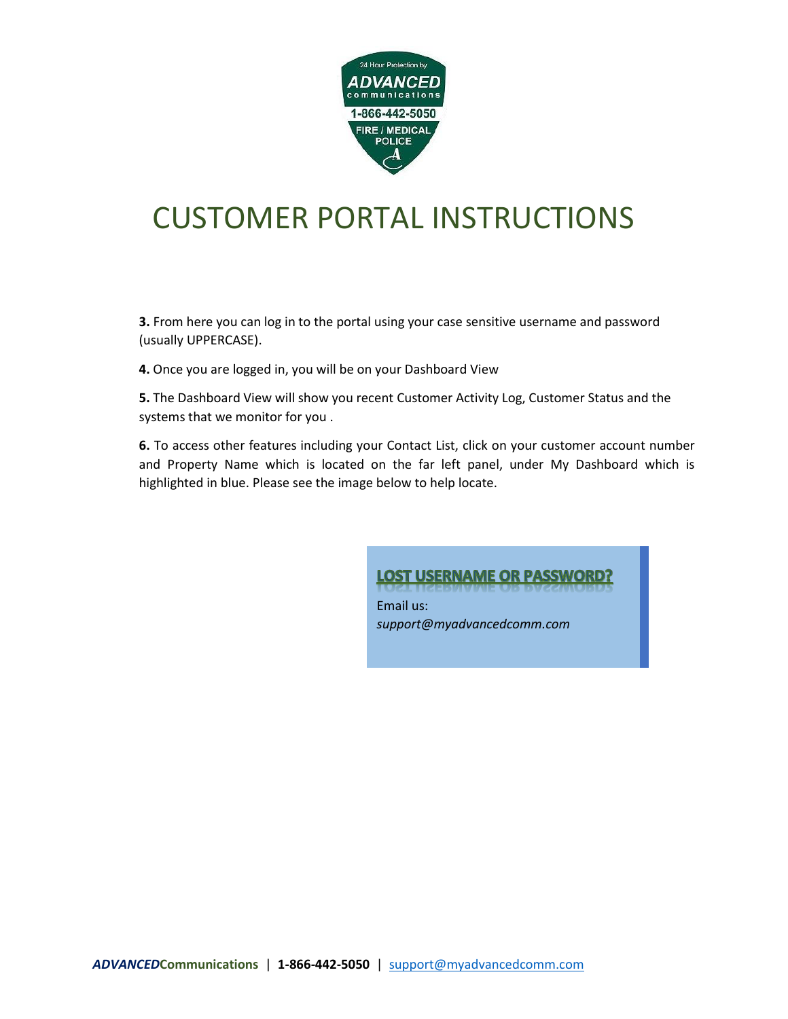

**3.** From here you can log in to the portal using your case sensitive username and password (usually UPPERCASE).

**4.** Once you are logged in, you will be on your Dashboard View

**5.** The Dashboard View will show you recent Customer Activity Log, Customer Status and the systems that we monitor for you .

**6.** To access other features including your Contact List, click on your customer account number and Property Name which is located on the far left panel, under My Dashboard which is highlighted in blue. Please see the image below to help locate.

#### **LOST USERNAME OR PASSWORD?**

Email us: *support@myadvancedcomm.com*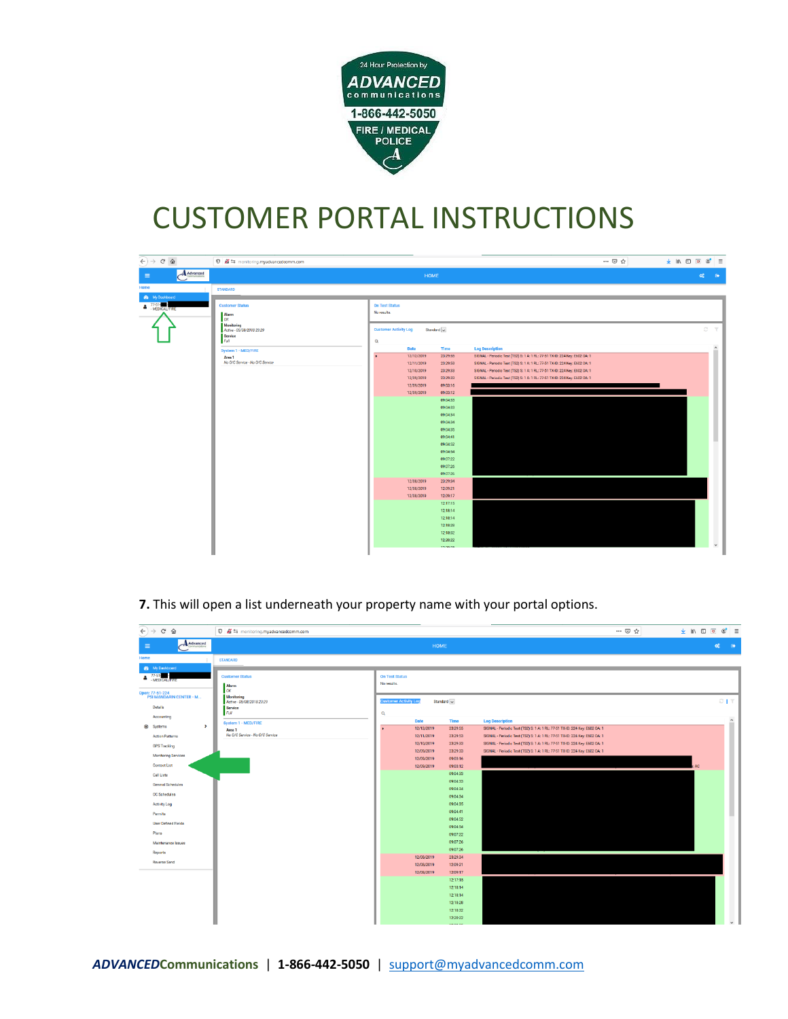

| $\leftarrow$ $\rightarrow$ $\alpha$ $\alpha$ |                                                                                                                                                                                |                                                                                           |                                                                                                                                           |                                                                                                                                                                                                                                                                                                                                                                 |                                                                                                                                                                                                                                                                                                                                                    | … ◎ ☆ | → Ⅲ Ⅲ Ⅲ | $\circ$ =                    |
|----------------------------------------------|--------------------------------------------------------------------------------------------------------------------------------------------------------------------------------|-------------------------------------------------------------------------------------------|-------------------------------------------------------------------------------------------------------------------------------------------|-----------------------------------------------------------------------------------------------------------------------------------------------------------------------------------------------------------------------------------------------------------------------------------------------------------------------------------------------------------------|----------------------------------------------------------------------------------------------------------------------------------------------------------------------------------------------------------------------------------------------------------------------------------------------------------------------------------------------------|-------|---------|------------------------------|
| $A$ Advanced<br>$\equiv$                     |                                                                                                                                                                                |                                                                                           | HOME                                                                                                                                      |                                                                                                                                                                                                                                                                                                                                                                 |                                                                                                                                                                                                                                                                                                                                                    |       |         | $\infty$<br>$\bullet$        |
| Home                                         | <b>STANDARD</b>                                                                                                                                                                |                                                                                           |                                                                                                                                           |                                                                                                                                                                                                                                                                                                                                                                 |                                                                                                                                                                                                                                                                                                                                                    |       |         |                              |
| <b>Sta</b> My Deshboard<br>$\bullet$ $77.51$ | <b>Customer Status</b><br><b>Alarm</b><br>OK<br>Monitoring<br>Active - 05/08/2018 23:29<br>Service<br>Full<br>System 1 - MED/FIRE<br>Area 1<br>No O/C Service - No O/C Service | <b>On Test Status</b><br>No results.<br><b>Customer Activity Log</b><br>$\mathbf{Q}$<br>٠ | <b>Date</b><br>12/12/2019<br>12/11/2019<br>12/10/2019<br>12/09/2019<br>12/09/2019<br>12/09/2019<br>12/08/2019<br>12/08/2019<br>12/08/2019 | Standard $\vert$ $\vert$<br><b>Time</b><br>23:29:55<br>23:29:53<br>23:29:33<br>23:29:33<br>09:03:16<br>09:03:12<br>09:04:33<br>09:04:33<br>09:04:34<br>09:04:34<br>09:04:35<br>09:04:41<br>09:04:52<br>09:04:54<br>09:07:22<br>09:07:26<br>09:07:26<br>23:29:34<br>12:09:21<br>12:09:17<br>12:17:15<br>12:18:14<br>12:18:14<br>12:18:28<br>12:18:32<br>12:20:22 | <b>Log Description</b><br>SIGNAL - Periodic Test (TS2) S: 1 A: 1 RL: 77-51 TX-ID: 224 Key: E602 OA: 1<br>SIGNAL - Periodic Test (TS2) S: 1 A: 1 RL: 77-51 TX-ID: 224 Key: E602 OA: 1<br>SIGNAL - Periodic Test (TS2) S: 1 A: 1 RL: 77-51 TX-ID: 224 Key: E602 OA: 1<br>SIGNAL - Periodic Test (TS2) S: 1 A: 1 RL: 77-51 TX-ID: 224 Key: E602 OA: 1 |       |         | $\varnothing$<br>$\mathbf T$ |

**7.** This will open a list underneath your property name with your portal options.

| $\Theta(\Theta) \rightarrow \Theta(\Theta)$                                                                                                                       | <b>0 Ø</b> <sup>e</sup> <sub>5</sub> monitoring.myadvancedcomm.com                                                                          |                                                                                                        |                                                                                              |                                                                                                                                                                                                                                           | … ◎ ☆ | $\frac{1}{2}$ in $\frac{1}{2}$ in $\frac{1}{2}$ in $\frac{1}{2}$ in $\frac{1}{2}$ in $\frac{1}{2}$ |
|-------------------------------------------------------------------------------------------------------------------------------------------------------------------|---------------------------------------------------------------------------------------------------------------------------------------------|--------------------------------------------------------------------------------------------------------|----------------------------------------------------------------------------------------------|-------------------------------------------------------------------------------------------------------------------------------------------------------------------------------------------------------------------------------------------|-------|----------------------------------------------------------------------------------------------------|
| $A$ Advanced<br>$\equiv$                                                                                                                                          |                                                                                                                                             | HOME                                                                                                   |                                                                                              |                                                                                                                                                                                                                                           |       | $\alpha_0^{\circ}$<br>$\bullet$                                                                    |
| Home                                                                                                                                                              | <b>STANDARD</b>                                                                                                                             |                                                                                                        |                                                                                              |                                                                                                                                                                                                                                           |       |                                                                                                    |
| <b>Sta</b> My Dashboard<br>$\triangle$ $77-51$<br>MEDICAL/FIRE<br>Open: 77-51-224<br>PSI MANDARIN CENTER - M<br>Details<br>Accounting<br>$\rightarrow$<br>Systems | <b>Customer Status</b><br><b>Alarm</b><br>OK<br>Monitoring<br>Active - 05/08/2018 23:29<br>Service<br>Full<br>System 1 - MED/FIRE<br>Area 1 | <b>On Test Status</b><br>No results.<br><b>Customer Activity Log</b><br>Q<br><b>Date</b><br>12/12/2019 | Standard v<br>Time<br>23:29:55                                                               | <b>Log Description</b><br>SIGNAL - Periodic Test (TS2) S: 1 A: 1 RL: 77-51 TX-ID: 224 Key: E602 OA: 1                                                                                                                                     |       | $C + T$<br>$\hat{\phantom{a}}$                                                                     |
| <b>Action Patterns</b><br><b>GPS Tracking</b><br><b>Monitoring Services</b><br>Contact List<br><b>Call Lists</b>                                                  | No 0/C Service - No O/C Service                                                                                                             | 12/11/2019<br>12/10/2019<br>12/09/2019<br>12/09/2019<br>12/09/2019                                     | 23:29:53<br>23:29:33<br>23:29:33<br>09:03:16<br>09:03:12<br>09:04:33<br>09:04:33             | SIGNAL - Periodic Test (TS2) S: 1 A: 1 RL: 77-51 TX-ID: 224 Key: E602 OA: 1<br>SIGNAL - Periodic Test (TS2) S: 1 A: 1 RL: 77-51 TX-ID: 224 Key: E602 OA: 1<br>SIGNAL - Periodic Test (TS2) S: 1 A: 1 RL: 77-51 TX-ID: 224 Key: E602 OA: 1 |       |                                                                                                    |
| General Schedules<br>OC Schedules<br><b>Activity Log</b><br>Permits<br>User Defined Fields                                                                        |                                                                                                                                             |                                                                                                        | 09:04:34<br>09:04:34<br>09:04:35<br>09:04:41<br>09:04:52                                     |                                                                                                                                                                                                                                           |       |                                                                                                    |
| Plans<br>Maintenance Issues<br>Reports                                                                                                                            |                                                                                                                                             | 12/08/2019                                                                                             | 09:04:54<br>09:07:22<br>09:07:26<br>09:07:26<br>23:29:34                                     |                                                                                                                                                                                                                                           |       |                                                                                                    |
| Reverse Send                                                                                                                                                      |                                                                                                                                             | 12/08/2019<br>12/08/2019                                                                               | 12:09:21<br>12:09:17<br>12:17:15<br>12:18:14<br>12:18:14<br>12:18:28<br>12:18:32<br>12:20:22 |                                                                                                                                                                                                                                           |       |                                                                                                    |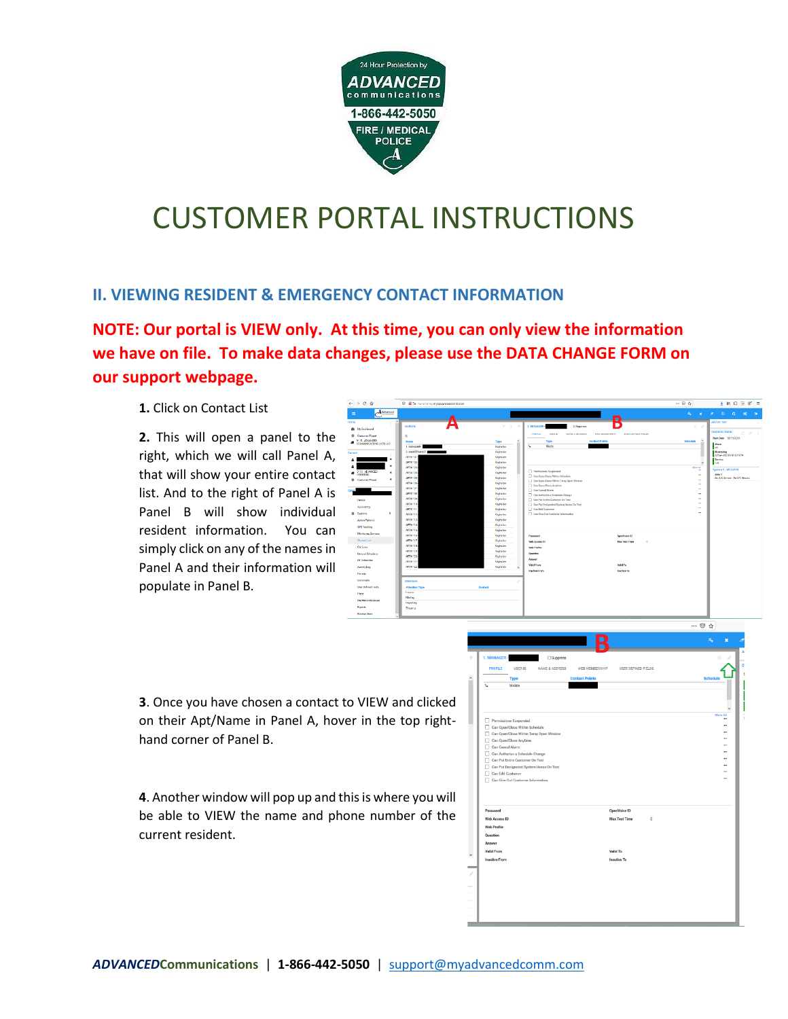

#### **II. VIEWING RESIDENT & EMERGENCY CONTACT INFORMATION**

**NOTE: Our portal is VIEW only. At this time, you can only view the information we have on file. To make data changes, please use the DATA CHANGE FORM on our support webpage.** 

**1.** Click on Contact List

**2.** This will open a panel to the right, which we will call Panel A, that will show your entire contact list. And to the right of Panel A is Panel B will show individual resident information. You can simply click on any of the names in Panel A and their information will populate in Panel B.



**3**. Once you have chosen a contact to VIEW and clicked on their Apt/Name in Panel A, hover in the top righthand corner of Panel B.

**4**. Another window will pop up and this is where you will be able to VIEW the name and phone number of the current resident.

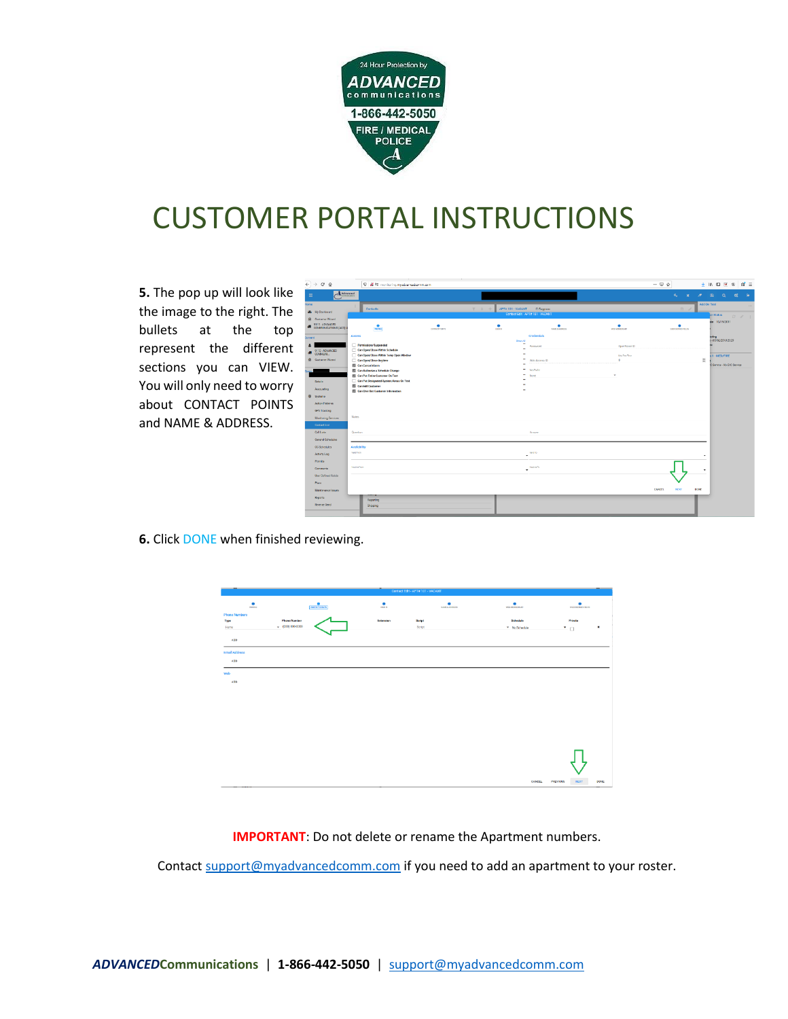

**5.** The pop up will look like the image to the right. The bullets at the top represent the different sections you can VIEW. You will only need to worry about CONTACT POINTS and NAME & ADDRESS.

|           | $\widehat{(-)} \rightarrow C \oplus$ | C & <sup>#</sup> # monitoring.mysdrancedcomm.com                 |                  |                                      |                                       |                               | $\cdots \circledcirc \lozenge$   | $\mathbf{d}'$ =<br>生地田区<br>$^{\circ}$            |
|-----------|--------------------------------------|------------------------------------------------------------------|------------------|--------------------------------------|---------------------------------------|-------------------------------|----------------------------------|--------------------------------------------------|
| $\equiv$  | $A$ <i>Monseed</i>                   |                                                                  |                  |                                      |                                       |                               | $\alpha_{\rm s}$<br>$\mathbf{x}$ | B<br>$\overline{z}$<br>$\alpha$<br>o.            |
| Home      |                                      | Contacts                                                         |                  | $T$ $\circ$ $+$<br>APT# 101 - VACANT | <b>Cl Suppress</b>                    |                               | $\mathbb{R}$<br>- s              | Add On Test                                      |
|           | 6 My Dashboard                       |                                                                  |                  |                                      | Contact Edit - APT# 101 - VACANT      |                               |                                  | ar Status<br>$\mathcal{C}^{\times}$              |
|           | <b>@</b> Customer Wizard             |                                                                  |                  |                                      |                                       |                               |                                  | ste 10/19/2011                                   |
|           | <b>4</b> 0115 ADWANCED               | $rac{1}{10000}$                                                  | ٠<br>conscribers | ٠<br>osnie.                          | ٠<br><b><i>NAME &amp; ADDRESS</i></b> | ٠<br><b>NG MMOSE</b>          | ٠<br>10030070031035              |                                                  |
| Current   |                                      | Access                                                           |                  |                                      | Credentials                           |                               |                                  | sring<br>- 05/08/2010 23:29                      |
| А         |                                      | Permissions Suspended                                            |                  | Shew All                             | Password                              | <b>OpenVoice ID</b>           |                                  |                                                  |
|           | <b>COMMUNITY</b>                     | Can Open/Close Within Schedule                                   |                  | ÷                                    |                                       |                               |                                  |                                                  |
|           | <b>@</b> Customer Wizard             | Can Open/Close Within Term Open Window                           |                  | $\sim$                               |                                       | May Tour Time<br>$\mathbf{0}$ |                                  | $1 - \text{MID}/\text{FIRE}$                     |
|           |                                      | Can Open/Close Anytime<br>Can Cancel Alarm                       |                  | $\sim$                               | Web Access ID                         |                               |                                  | $\frac{1}{\sqrt{2}}$<br>C Senice - No O/C Senice |
|           |                                      | Can Authorize a Schedule Change                                  |                  |                                      | ÷<br><b>Web Rodie</b>                 |                               |                                  |                                                  |
|           |                                      | Can Put Entire Cuntorner On Test                                 |                  | -                                    | None                                  | ٠                             |                                  |                                                  |
|           | Details                              | Can Put Designated System/Areas On Test                          |                  | $\sim$                               |                                       |                               |                                  |                                                  |
|           | Accounting                           | <b>Ed Can Edit Customer</b><br>Can Give Out Customer Information |                  | $\overline{a}$                       |                                       |                               |                                  |                                                  |
| $\bullet$ | Systems                              |                                                                  |                  |                                      |                                       |                               |                                  |                                                  |
|           | <b>Action Petterns</b>               |                                                                  |                  |                                      |                                       |                               |                                  |                                                  |
|           |                                      |                                                                  |                  |                                      |                                       |                               |                                  |                                                  |
|           | GPS Tracking                         |                                                                  |                  |                                      |                                       |                               |                                  |                                                  |
|           | Monitoring Services:                 | Notes                                                            |                  |                                      |                                       |                               |                                  |                                                  |
|           | Contact List                         |                                                                  |                  |                                      |                                       |                               |                                  |                                                  |
|           | Call Lime                            | Question                                                         |                  |                                      | Acoust                                |                               |                                  |                                                  |
|           | <b>Ceneral Schedules</b>             |                                                                  |                  |                                      |                                       |                               |                                  |                                                  |
|           | CC Schodules                         | Availability                                                     |                  |                                      |                                       |                               |                                  |                                                  |
|           | Activity Log                         | Vehicles                                                         |                  |                                      | Valid To<br>۰                         |                               |                                  |                                                  |
|           | Permits:                             |                                                                  |                  |                                      |                                       |                               |                                  |                                                  |
|           | Commerts                             | Inschreifung                                                     |                  |                                      | <b>Institut</b> To<br>٠               |                               |                                  |                                                  |
|           | User Defined Fields                  |                                                                  |                  |                                      |                                       |                               |                                  |                                                  |
|           | Plane:                               |                                                                  |                  |                                      |                                       |                               |                                  |                                                  |
|           | Maintenance Issues                   |                                                                  |                  |                                      |                                       |                               | CANCEL<br>NEXT                   | <b>DONE</b>                                      |
|           | Reports                              |                                                                  |                  |                                      |                                       |                               |                                  |                                                  |
|           |                                      | Reporting                                                        |                  |                                      |                                       |                               |                                  |                                                  |
|           | <b>Reverse Send</b>                  | Shipping                                                         |                  |                                      |                                       |                               |                                  |                                                  |
|           |                                      |                                                                  |                  |                                      |                                       |                               |                                  |                                                  |

**6.** Click DONE when finished reviewing.



**IMPORTANT**: Do not delete or rename the Apartment numbers.

Contac[t support@myadvancedcomm.com](mailto:support@myadvancedcomm.com) if you need to add an apartment to your roster.